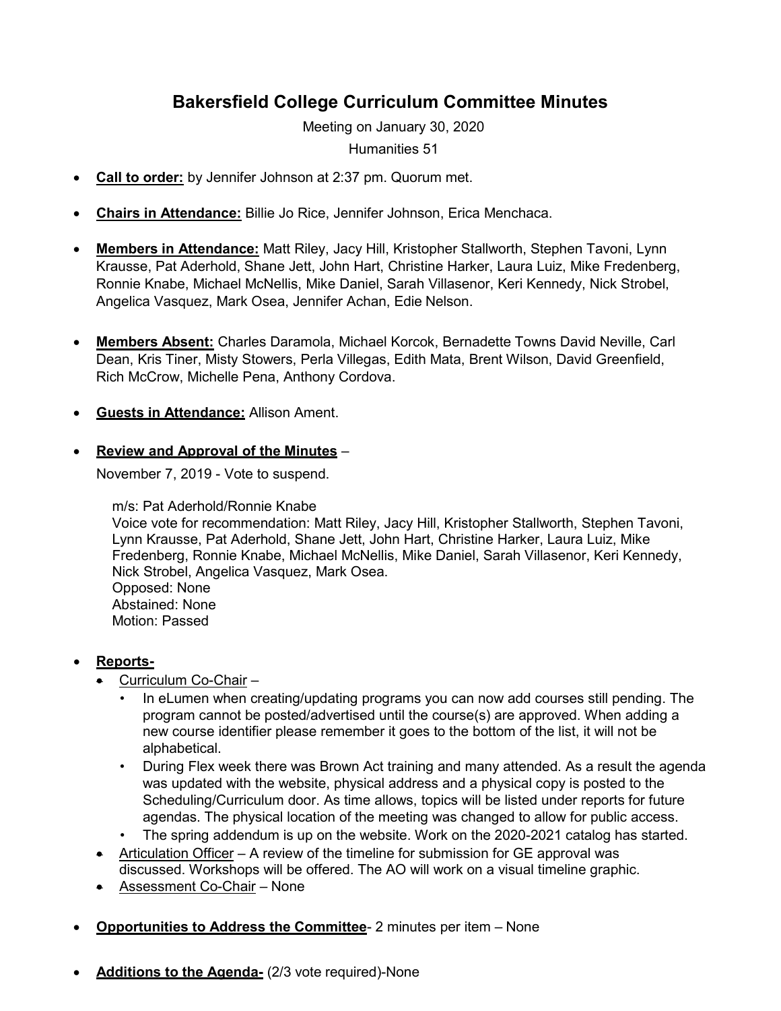## **Bakersfield College Curriculum Committee Minutes**

Meeting on January 30, 2020

Humanities 51

- **Call to order:** by Jennifer Johnson at 2:37 pm. Quorum met.
- **Chairs in Attendance:** Billie Jo Rice, Jennifer Johnson, Erica Menchaca.
- **Members in Attendance:** Matt Riley, Jacy Hill, Kristopher Stallworth, Stephen Tavoni, Lynn Krausse, Pat Aderhold, Shane Jett, John Hart, Christine Harker, Laura Luiz, Mike Fredenberg, Ronnie Knabe, Michael McNellis, Mike Daniel, Sarah Villasenor, Keri Kennedy, Nick Strobel, Angelica Vasquez, Mark Osea, Jennifer Achan, Edie Nelson.
- **Members Absent:** Charles Daramola, Michael Korcok, Bernadette Towns David Neville, Carl Dean, Kris Tiner, Misty Stowers, Perla Villegas, Edith Mata, Brent Wilson, David Greenfield, Rich McCrow, Michelle Pena, Anthony Cordova.
- **Guests in Attendance:** Allison Ament.
- **Review and Approval of the Minutes** –

November 7, 2019 - Vote to suspend.

m/s: Pat Aderhold/Ronnie Knabe Voice vote for recommendation: Matt Riley, Jacy Hill, Kristopher Stallworth, Stephen Tavoni, Lynn Krausse, Pat Aderhold, Shane Jett, John Hart, Christine Harker, Laura Luiz, Mike Fredenberg, Ronnie Knabe, Michael McNellis, Mike Daniel, Sarah Villasenor, Keri Kennedy, Nick Strobel, Angelica Vasquez, Mark Osea. Opposed: None Abstained: None Motion: Passed

- **Reports-**
	- Curriculum Co-Chair -
		- In eLumen when creating/updating programs you can now add courses still pending. The program cannot be posted/advertised until the course(s) are approved. When adding a new course identifier please remember it goes to the bottom of the list, it will not be alphabetical.
		- During Flex week there was Brown Act training and many attended. As a result the agenda was updated with the website, physical address and a physical copy is posted to the Scheduling/Curriculum door. As time allows, topics will be listed under reports for future agendas. The physical location of the meeting was changed to allow for public access.
		- The spring addendum is up on the website. Work on the 2020-2021 catalog has started.
	- Articulation Officer A review of the timeline for submission for GE approval was discussed. Workshops will be offered. The AO will work on a visual timeline graphic.
	- Assessment Co-Chair None
- **Opportunities to Address the Committee** 2 minutes per item None
- Additions to the Agenda- (2/3 vote required)-None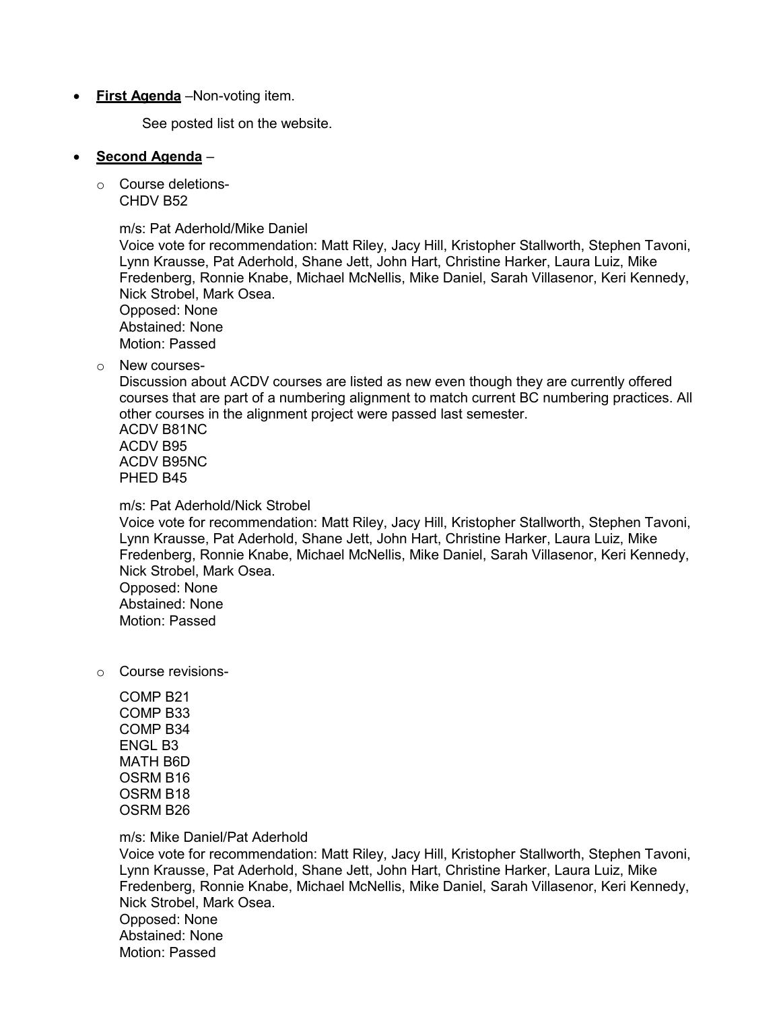• **First Agenda** –Non-voting item.

See posted list on the website.

## • **Second Agenda** –

o Course deletions-CHDV B52

m/s: Pat Aderhold/Mike Daniel

Voice vote for recommendation: Matt Riley, Jacy Hill, Kristopher Stallworth, Stephen Tavoni, Lynn Krausse, Pat Aderhold, Shane Jett, John Hart, Christine Harker, Laura Luiz, Mike Fredenberg, Ronnie Knabe, Michael McNellis, Mike Daniel, Sarah Villasenor, Keri Kennedy, Nick Strobel, Mark Osea. Opposed: None Abstained: None Motion: Passed

o New courses-

Discussion about ACDV courses are listed as new even though they are currently offered courses that are part of a numbering alignment to match current BC numbering practices. All other courses in the alignment project were passed last semester. ACDV B81NC ACDV B95

ACDV B95NC PHED B45

m/s: Pat Aderhold/Nick Strobel

Voice vote for recommendation: Matt Riley, Jacy Hill, Kristopher Stallworth, Stephen Tavoni, Lynn Krausse, Pat Aderhold, Shane Jett, John Hart, Christine Harker, Laura Luiz, Mike Fredenberg, Ronnie Knabe, Michael McNellis, Mike Daniel, Sarah Villasenor, Keri Kennedy, Nick Strobel, Mark Osea. Opposed: None Abstained: None Motion: Passed

o Course revisions-

COMP B21 COMP B33 COMP B34 ENGL B3 MATH B6D OSRM B16 OSRM B18 OSRM B26

m/s: Mike Daniel/Pat Aderhold

Voice vote for recommendation: Matt Riley, Jacy Hill, Kristopher Stallworth, Stephen Tavoni, Lynn Krausse, Pat Aderhold, Shane Jett, John Hart, Christine Harker, Laura Luiz, Mike Fredenberg, Ronnie Knabe, Michael McNellis, Mike Daniel, Sarah Villasenor, Keri Kennedy, Nick Strobel, Mark Osea. Opposed: None Abstained: None Motion: Passed